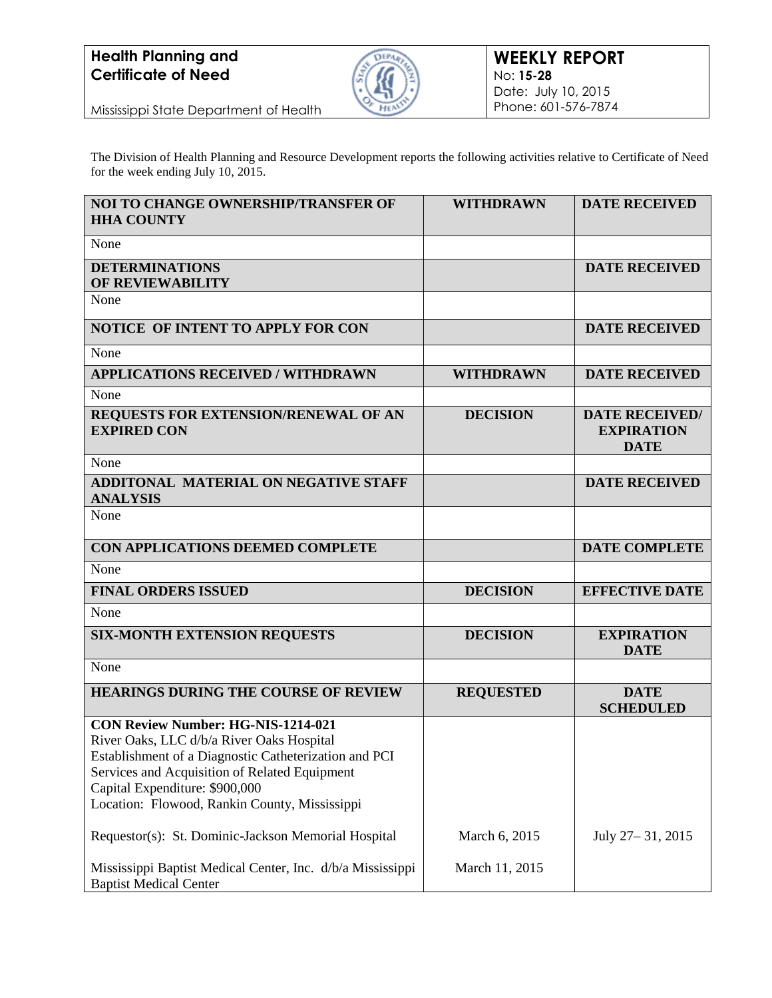### **Health Planning and Certificate of Need**



Mississippi State Department of Health

The Division of Health Planning and Resource Development reports the following activities relative to Certificate of Need for the week ending July 10, 2015.

| <b>NOI TO CHANGE OWNERSHIP/TRANSFER OF</b><br><b>HHA COUNTY</b>                                                                                                                                                                                                                     | <b>WITHDRAWN</b> | <b>DATE RECEIVED</b>                                      |
|-------------------------------------------------------------------------------------------------------------------------------------------------------------------------------------------------------------------------------------------------------------------------------------|------------------|-----------------------------------------------------------|
| None                                                                                                                                                                                                                                                                                |                  |                                                           |
| <b>DETERMINATIONS</b><br><b>OF REVIEWABILITY</b>                                                                                                                                                                                                                                    |                  | <b>DATE RECEIVED</b>                                      |
| None                                                                                                                                                                                                                                                                                |                  |                                                           |
| <b>NOTICE OF INTENT TO APPLY FOR CON</b>                                                                                                                                                                                                                                            |                  | <b>DATE RECEIVED</b>                                      |
| None                                                                                                                                                                                                                                                                                |                  |                                                           |
| <b>APPLICATIONS RECEIVED / WITHDRAWN</b>                                                                                                                                                                                                                                            | <b>WITHDRAWN</b> | <b>DATE RECEIVED</b>                                      |
| None                                                                                                                                                                                                                                                                                |                  |                                                           |
| REQUESTS FOR EXTENSION/RENEWAL OF AN<br><b>EXPIRED CON</b>                                                                                                                                                                                                                          | <b>DECISION</b>  | <b>DATE RECEIVED/</b><br><b>EXPIRATION</b><br><b>DATE</b> |
| None                                                                                                                                                                                                                                                                                |                  |                                                           |
| <b>ADDITONAL MATERIAL ON NEGATIVE STAFF</b><br><b>ANALYSIS</b>                                                                                                                                                                                                                      |                  | <b>DATE RECEIVED</b>                                      |
| None                                                                                                                                                                                                                                                                                |                  |                                                           |
| CON APPLICATIONS DEEMED COMPLETE                                                                                                                                                                                                                                                    |                  | <b>DATE COMPLETE</b>                                      |
| None                                                                                                                                                                                                                                                                                |                  |                                                           |
| <b>FINAL ORDERS ISSUED</b>                                                                                                                                                                                                                                                          | <b>DECISION</b>  | <b>EFFECTIVE DATE</b>                                     |
| None                                                                                                                                                                                                                                                                                |                  |                                                           |
| <b>SIX-MONTH EXTENSION REQUESTS</b>                                                                                                                                                                                                                                                 | <b>DECISION</b>  | <b>EXPIRATION</b><br><b>DATE</b>                          |
| None                                                                                                                                                                                                                                                                                |                  |                                                           |
| <b>HEARINGS DURING THE COURSE OF REVIEW</b>                                                                                                                                                                                                                                         | <b>REQUESTED</b> | <b>DATE</b><br><b>SCHEDULED</b>                           |
| <b>CON Review Number: HG-NIS-1214-021</b><br>River Oaks, LLC d/b/a River Oaks Hospital<br>Establishment of a Diagnostic Catheterization and PCI<br>Services and Acquisition of Related Equipment<br>Capital Expenditure: \$900,000<br>Location: Flowood, Rankin County, Mississippi |                  |                                                           |
| Requestor(s): St. Dominic-Jackson Memorial Hospital                                                                                                                                                                                                                                 | March 6, 2015    | July 27 – 31, 2015                                        |
| Mississippi Baptist Medical Center, Inc. d/b/a Mississippi<br><b>Baptist Medical Center</b>                                                                                                                                                                                         | March 11, 2015   |                                                           |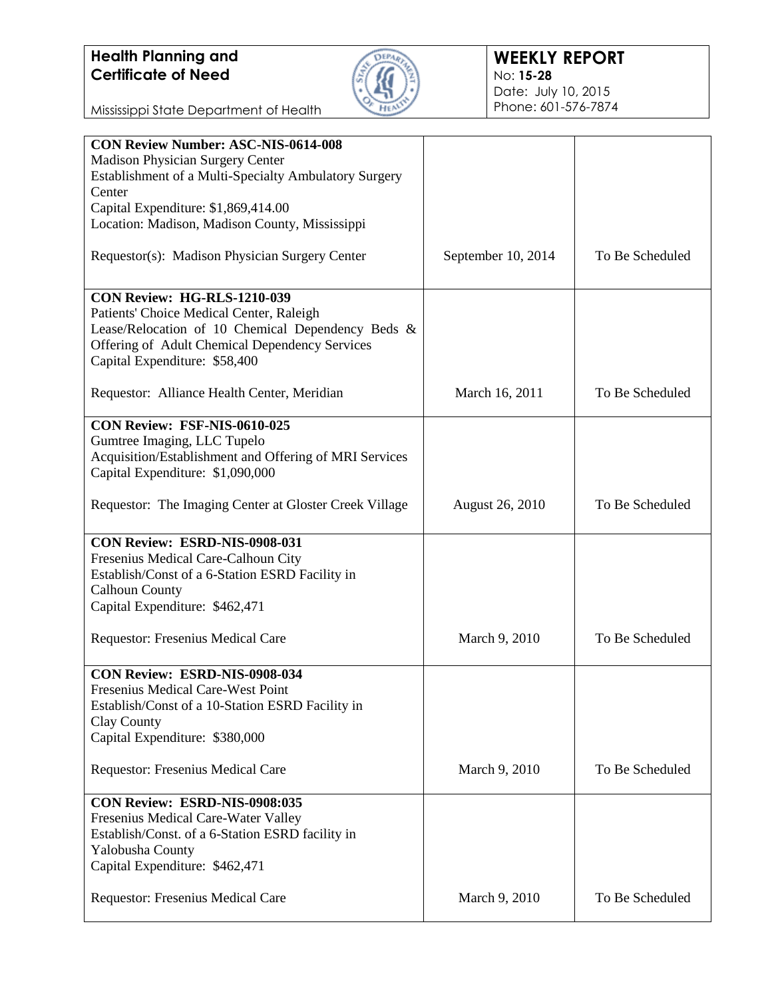# **Health Planning and Certificate of Need**



### **WEEKLY REPORT** No: **15-28** Date: July 10, 2015 Phone: 601-576-7874

Mississippi State Department of Health

| <b>CON Review Number: ASC-NIS-0614-008</b>             |                        |                 |
|--------------------------------------------------------|------------------------|-----------------|
| Madison Physician Surgery Center                       |                        |                 |
| Establishment of a Multi-Specialty Ambulatory Surgery  |                        |                 |
| Center                                                 |                        |                 |
| Capital Expenditure: \$1,869,414.00                    |                        |                 |
| Location: Madison, Madison County, Mississippi         |                        |                 |
|                                                        |                        |                 |
| Requestor(s): Madison Physician Surgery Center         | September 10, 2014     | To Be Scheduled |
|                                                        |                        |                 |
|                                                        |                        |                 |
| CON Review: HG-RLS-1210-039                            |                        |                 |
| Patients' Choice Medical Center, Raleigh               |                        |                 |
| Lease/Relocation of 10 Chemical Dependency Beds &      |                        |                 |
| Offering of Adult Chemical Dependency Services         |                        |                 |
|                                                        |                        |                 |
| Capital Expenditure: \$58,400                          |                        |                 |
|                                                        |                        |                 |
| Requestor: Alliance Health Center, Meridian            | March 16, 2011         | To Be Scheduled |
|                                                        |                        |                 |
| CON Review: FSF-NIS-0610-025                           |                        |                 |
| Gumtree Imaging, LLC Tupelo                            |                        |                 |
| Acquisition/Establishment and Offering of MRI Services |                        |                 |
| Capital Expenditure: \$1,090,000                       |                        |                 |
|                                                        |                        |                 |
| Requestor: The Imaging Center at Gloster Creek Village | <b>August 26, 2010</b> | To Be Scheduled |
|                                                        |                        |                 |
|                                                        |                        |                 |
| CON Review: ESRD-NIS-0908-031                          |                        |                 |
| Fresenius Medical Care-Calhoun City                    |                        |                 |
| Establish/Const of a 6-Station ESRD Facility in        |                        |                 |
| <b>Calhoun County</b>                                  |                        |                 |
| Capital Expenditure: \$462,471                         |                        |                 |
|                                                        |                        |                 |
| Requestor: Fresenius Medical Care                      | March 9, 2010          | To Be Scheduled |
|                                                        |                        |                 |
|                                                        |                        |                 |
| CON Review: ESRD-NIS-0908-034                          |                        |                 |
| Fresenius Medical Care-West Point                      |                        |                 |
| Establish/Const of a 10-Station ESRD Facility in       |                        |                 |
| Clay County                                            |                        |                 |
| Capital Expenditure: \$380,000                         |                        |                 |
|                                                        |                        |                 |
| Requestor: Fresenius Medical Care                      | March 9, 2010          | To Be Scheduled |
|                                                        |                        |                 |
| CON Review: ESRD-NIS-0908:035                          |                        |                 |
| Fresenius Medical Care-Water Valley                    |                        |                 |
| Establish/Const. of a 6-Station ESRD facility in       |                        |                 |
|                                                        |                        |                 |
| Yalobusha County                                       |                        |                 |
| Capital Expenditure: \$462,471                         |                        |                 |
|                                                        |                        |                 |
| Requestor: Fresenius Medical Care                      | March 9, 2010          | To Be Scheduled |
|                                                        |                        |                 |